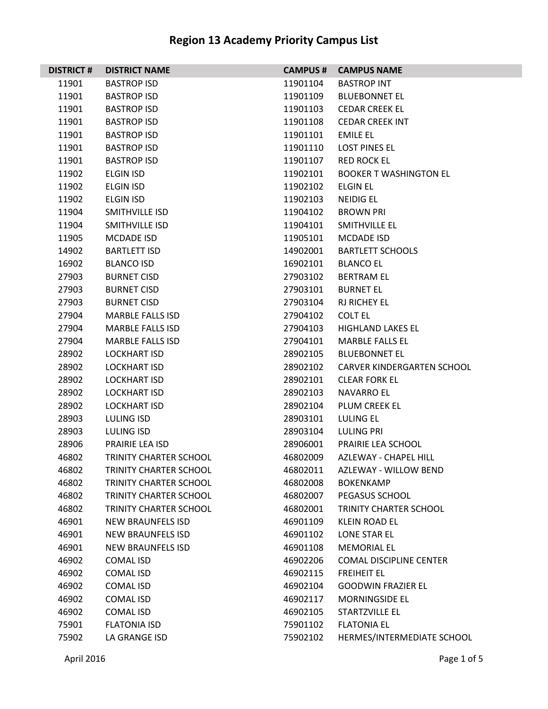| <b>DISTRICT#</b> | <b>DISTRICT NAME</b>          | <b>CAMPUS #</b> | <b>CAMPUS NAME</b>             |
|------------------|-------------------------------|-----------------|--------------------------------|
| 11901            | <b>BASTROP ISD</b>            | 11901104        | <b>BASTROP INT</b>             |
| 11901            | <b>BASTROP ISD</b>            | 11901109        | <b>BLUEBONNET EL</b>           |
| 11901            | <b>BASTROP ISD</b>            | 11901103        | <b>CEDAR CREEK EL</b>          |
| 11901            | <b>BASTROP ISD</b>            | 11901108        | <b>CEDAR CREEK INT</b>         |
| 11901            | <b>BASTROP ISD</b>            | 11901101        | <b>EMILE EL</b>                |
| 11901            | <b>BASTROP ISD</b>            | 11901110        | <b>LOST PINES EL</b>           |
| 11901            | <b>BASTROP ISD</b>            | 11901107        | <b>RED ROCK EL</b>             |
| 11902            | <b>ELGIN ISD</b>              | 11902101        | <b>BOOKER T WASHINGTON EL</b>  |
| 11902            | <b>ELGIN ISD</b>              | 11902102        | <b>ELGIN EL</b>                |
| 11902            | <b>ELGIN ISD</b>              | 11902103        | <b>NEIDIG EL</b>               |
| 11904            | SMITHVILLE ISD                | 11904102        | <b>BROWN PRI</b>               |
| 11904            | SMITHVILLE ISD                | 11904101        | SMITHVILLE EL                  |
| 11905            | <b>MCDADE ISD</b>             | 11905101        | MCDADE ISD                     |
| 14902            | <b>BARTLETT ISD</b>           | 14902001        | <b>BARTLETT SCHOOLS</b>        |
| 16902            | <b>BLANCO ISD</b>             | 16902101        | <b>BLANCO EL</b>               |
| 27903            | <b>BURNET CISD</b>            | 27903102        | <b>BERTRAM EL</b>              |
| 27903            | <b>BURNET CISD</b>            | 27903101        | <b>BURNET EL</b>               |
| 27903            | <b>BURNET CISD</b>            | 27903104        | <b>RJ RICHEY EL</b>            |
| 27904            | <b>MARBLE FALLS ISD</b>       | 27904102        | <b>COLT EL</b>                 |
| 27904            | <b>MARBLE FALLS ISD</b>       | 27904103        | <b>HIGHLAND LAKES EL</b>       |
| 27904            | <b>MARBLE FALLS ISD</b>       | 27904101        | <b>MARBLE FALLS EL</b>         |
| 28902            | <b>LOCKHART ISD</b>           | 28902105        | <b>BLUEBONNET EL</b>           |
| 28902            | <b>LOCKHART ISD</b>           | 28902102        | CARVER KINDERGARTEN SCHOOL     |
| 28902            | <b>LOCKHART ISD</b>           | 28902101        | <b>CLEAR FORK EL</b>           |
| 28902            | <b>LOCKHART ISD</b>           | 28902103        | <b>NAVARRO EL</b>              |
| 28902            | <b>LOCKHART ISD</b>           | 28902104        | PLUM CREEK EL                  |
| 28903            | LULING ISD                    | 28903101        | <b>LULING EL</b>               |
| 28903            | LULING ISD                    | 28903104        | LULING PRI                     |
| 28906            | PRAIRIE LEA ISD               | 28906001        | PRAIRIE LEA SCHOOL             |
| 46802            | TRINITY CHARTER SCHOOL        | 46802009        | AZLEWAY - CHAPEL HILL          |
| 46802            | TRINITY CHARTER SCHOOL        | 46802011        | <b>AZLEWAY - WILLOW BEND</b>   |
| 46802            | <b>TRINITY CHARTER SCHOOL</b> | 46802008        | <b>BOKENKAMP</b>               |
| 46802            | <b>TRINITY CHARTER SCHOOL</b> | 46802007        | PEGASUS SCHOOL                 |
| 46802            | TRINITY CHARTER SCHOOL        | 46802001        | TRINITY CHARTER SCHOOL         |
| 46901            | <b>NEW BRAUNFELS ISD</b>      | 46901109        | <b>KLEIN ROAD EL</b>           |
| 46901            | <b>NEW BRAUNFELS ISD</b>      | 46901102        | <b>LONE STAR EL</b>            |
| 46901            | NEW BRAUNFELS ISD             | 46901108        | <b>MEMORIAL EL</b>             |
| 46902            | <b>COMAL ISD</b>              | 46902206        | <b>COMAL DISCIPLINE CENTER</b> |
| 46902            | <b>COMAL ISD</b>              | 46902115        | <b>FREIHEIT EL</b>             |
| 46902            | <b>COMAL ISD</b>              | 46902104        | <b>GOODWIN FRAZIER EL</b>      |
| 46902            | <b>COMAL ISD</b>              | 46902117        | <b>MORNINGSIDE EL</b>          |
| 46902            | <b>COMAL ISD</b>              | 46902105        | STARTZVILLE EL                 |
| 75901            | <b>FLATONIA ISD</b>           | 75901102        | <b>FLATONIA EL</b>             |
| 75902            | LA GRANGE ISD                 | 75902102        | HERMES/INTERMEDIATE SCHOOL     |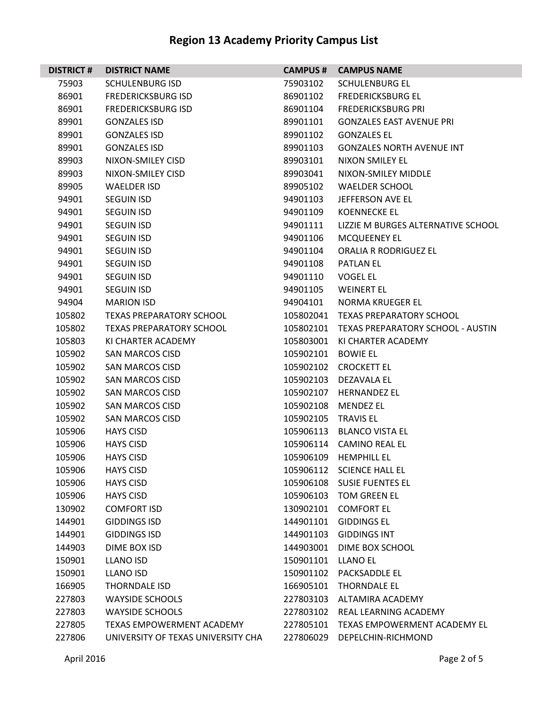| <b>DISTRICT#</b> | <b>DISTRICT NAME</b>               | <b>CAMPUS #</b> | <b>CAMPUS NAME</b>                  |
|------------------|------------------------------------|-----------------|-------------------------------------|
| 75903            | <b>SCHULENBURG ISD</b>             | 75903102        | <b>SCHULENBURG EL</b>               |
| 86901            | <b>FREDERICKSBURG ISD</b>          | 86901102        | <b>FREDERICKSBURG EL</b>            |
| 86901            | <b>FREDERICKSBURG ISD</b>          | 86901104        | <b>FREDERICKSBURG PRI</b>           |
| 89901            | <b>GONZALES ISD</b>                | 89901101        | <b>GONZALES EAST AVENUE PRI</b>     |
| 89901            | <b>GONZALES ISD</b>                | 89901102        | <b>GONZALES EL</b>                  |
| 89901            | <b>GONZALES ISD</b>                | 89901103        | <b>GONZALES NORTH AVENUE INT</b>    |
| 89903            | NIXON-SMILEY CISD                  | 89903101        | NIXON SMILEY EL                     |
| 89903            | NIXON-SMILEY CISD                  | 89903041        | NIXON-SMILEY MIDDLE                 |
| 89905            | <b>WAELDER ISD</b>                 | 89905102        | <b>WAELDER SCHOOL</b>               |
| 94901            | <b>SEGUIN ISD</b>                  | 94901103        | JEFFERSON AVE EL                    |
| 94901            | <b>SEGUIN ISD</b>                  | 94901109        | <b>KOENNECKE EL</b>                 |
| 94901            | <b>SEGUIN ISD</b>                  | 94901111        | LIZZIE M BURGES ALTERNATIVE SCHOOL  |
| 94901            | <b>SEGUIN ISD</b>                  | 94901106        | <b>MCQUEENEY EL</b>                 |
| 94901            | <b>SEGUIN ISD</b>                  | 94901104        | <b>ORALIA R RODRIGUEZ EL</b>        |
| 94901            | <b>SEGUIN ISD</b>                  | 94901108        | <b>PATLAN EL</b>                    |
| 94901            | <b>SEGUIN ISD</b>                  | 94901110        | <b>VOGEL EL</b>                     |
| 94901            | <b>SEGUIN ISD</b>                  | 94901105        | <b>WEINERT EL</b>                   |
| 94904            | <b>MARION ISD</b>                  | 94904101        | <b>NORMA KRUEGER EL</b>             |
| 105802           | <b>TEXAS PREPARATORY SCHOOL</b>    | 105802041       | <b>TEXAS PREPARATORY SCHOOL</b>     |
| 105802           | <b>TEXAS PREPARATORY SCHOOL</b>    | 105802101       | TEXAS PREPARATORY SCHOOL - AUSTIN   |
| 105803           | KI CHARTER ACADEMY                 | 105803001       | KI CHARTER ACADEMY                  |
| 105902           | <b>SAN MARCOS CISD</b>             | 105902101       | <b>BOWIE EL</b>                     |
| 105902           | <b>SAN MARCOS CISD</b>             | 105902102       | <b>CROCKETT EL</b>                  |
| 105902           | SAN MARCOS CISD                    | 105902103       | DEZAVALA EL                         |
| 105902           | <b>SAN MARCOS CISD</b>             | 105902107       | <b>HERNANDEZ EL</b>                 |
| 105902           | <b>SAN MARCOS CISD</b>             | 105902108       | <b>MENDEZ EL</b>                    |
| 105902           | SAN MARCOS CISD                    | 105902105       | <b>TRAVIS EL</b>                    |
| 105906           | <b>HAYS CISD</b>                   | 105906113       | <b>BLANCO VISTA EL</b>              |
| 105906           | <b>HAYS CISD</b>                   | 105906114       | <b>CAMINO REAL EL</b>               |
| 105906           | <b>HAYS CISD</b>                   | 105906109       | <b>HEMPHILL EL</b>                  |
| 105906           | <b>HAYS CISD</b>                   | 105906112       | <b>SCIENCE HALL EL</b>              |
| 105906           | <b>HAYS CISD</b>                   | 105906108       | <b>SUSIE FUENTES EL</b>             |
| 105906           | <b>HAYS CISD</b>                   | 105906103       | <b>TOM GREEN EL</b>                 |
| 130902           | <b>COMFORT ISD</b>                 | 130902101       | <b>COMFORT EL</b>                   |
| 144901           | <b>GIDDINGS ISD</b>                | 144901101       | <b>GIDDINGS EL</b>                  |
| 144901           | <b>GIDDINGS ISD</b>                | 144901103       | <b>GIDDINGS INT</b>                 |
| 144903           | DIME BOX ISD                       | 144903001       | DIME BOX SCHOOL                     |
| 150901           | LLANO ISD                          | 150901101       | <b>LLANO EL</b>                     |
| 150901           | <b>LLANO ISD</b>                   | 150901102       | PACKSADDLE EL                       |
| 166905           | <b>THORNDALE ISD</b>               | 166905101       | <b>THORNDALE EL</b>                 |
| 227803           | <b>WAYSIDE SCHOOLS</b>             | 227803103       | ALTAMIRA ACADEMY                    |
| 227803           | <b>WAYSIDE SCHOOLS</b>             | 227803102       | REAL LEARNING ACADEMY               |
| 227805           | <b>TEXAS EMPOWERMENT ACADEMY</b>   | 227805101       | <b>TEXAS EMPOWERMENT ACADEMY EL</b> |
| 227806           | UNIVERSITY OF TEXAS UNIVERSITY CHA | 227806029       | DEPELCHIN-RICHMOND                  |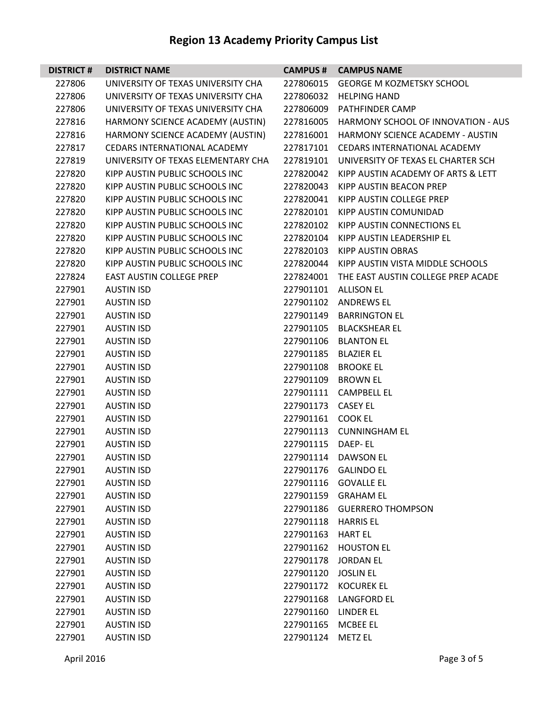| <b>DISTRICT#</b> | <b>DISTRICT NAME</b>                |                    | <b>CAMPUS # CAMPUS NAME</b>                  |
|------------------|-------------------------------------|--------------------|----------------------------------------------|
| 227806           | UNIVERSITY OF TEXAS UNIVERSITY CHA  | 227806015          | <b>GEORGE M KOZMETSKY SCHOOL</b>             |
| 227806           | UNIVERSITY OF TEXAS UNIVERSITY CHA  | 227806032          | HELPING HAND                                 |
| 227806           | UNIVERSITY OF TEXAS UNIVERSITY CHA  | 227806009          | PATHFINDER CAMP                              |
| 227816           | HARMONY SCIENCE ACADEMY (AUSTIN)    | 227816005          | <b>HARMONY SCHOOL OF INNOVATION - AUS</b>    |
| 227816           | HARMONY SCIENCE ACADEMY (AUSTIN)    | 227816001          | <b>HARMONY SCIENCE ACADEMY - AUSTIN</b>      |
| 227817           | <b>CEDARS INTERNATIONAL ACADEMY</b> |                    | 227817101 CEDARS INTERNATIONAL ACADEMY       |
| 227819           | UNIVERSITY OF TEXAS ELEMENTARY CHA  |                    | 227819101 UNIVERSITY OF TEXAS EL CHARTER SCH |
| 227820           | KIPP AUSTIN PUBLIC SCHOOLS INC      |                    | 227820042 KIPP AUSTIN ACADEMY OF ARTS & LETT |
| 227820           | KIPP AUSTIN PUBLIC SCHOOLS INC      | 227820043          | KIPP AUSTIN BEACON PREP                      |
| 227820           | KIPP AUSTIN PUBLIC SCHOOLS INC      | 227820041          | KIPP AUSTIN COLLEGE PREP                     |
| 227820           | KIPP AUSTIN PUBLIC SCHOOLS INC      | 227820101          | KIPP AUSTIN COMUNIDAD                        |
| 227820           | KIPP AUSTIN PUBLIC SCHOOLS INC      | 227820102          | KIPP AUSTIN CONNECTIONS EL                   |
| 227820           | KIPP AUSTIN PUBLIC SCHOOLS INC      | 227820104          | KIPP AUSTIN LEADERSHIP EL                    |
| 227820           | KIPP AUSTIN PUBLIC SCHOOLS INC      | 227820103          | KIPP AUSTIN OBRAS                            |
| 227820           | KIPP AUSTIN PUBLIC SCHOOLS INC      |                    | 227820044 KIPP AUSTIN VISTA MIDDLE SCHOOLS   |
| 227824           | <b>EAST AUSTIN COLLEGE PREP</b>     |                    | 227824001 THE EAST AUSTIN COLLEGE PREP ACADE |
| 227901           | <b>AUSTIN ISD</b>                   | 227901101          | ALLISON EL                                   |
| 227901           | <b>AUSTIN ISD</b>                   |                    | 227901102 ANDREWS EL                         |
| 227901           | <b>AUSTIN ISD</b>                   |                    | 227901149 BARRINGTON EL                      |
| 227901           | <b>AUSTIN ISD</b>                   |                    | 227901105 BLACKSHEAR EL                      |
| 227901           | <b>AUSTIN ISD</b>                   |                    | 227901106 BLANTON EL                         |
| 227901           | <b>AUSTIN ISD</b>                   | 227901185          | BLAZIER EL                                   |
| 227901           | <b>AUSTIN ISD</b>                   |                    | 227901108 BROOKE EL                          |
| 227901           | <b>AUSTIN ISD</b>                   | 227901109 BROWN EL |                                              |
| 227901           | <b>AUSTIN ISD</b>                   |                    | 227901111 CAMPBELL EL                        |
| 227901           | <b>AUSTIN ISD</b>                   | 227901173 CASEY EL |                                              |
| 227901           | <b>AUSTIN ISD</b>                   | 227901161 COOK EL  |                                              |
| 227901           | <b>AUSTIN ISD</b>                   |                    | 227901113 CUNNINGHAM EL                      |
| 227901           | <b>AUSTIN ISD</b>                   | 227901115 DAEP-EL  |                                              |
| 227901           | <b>AUSTIN ISD</b>                   |                    | 227901114 DAWSON EL                          |
| 227901           | <b>AUSTIN ISD</b>                   | 227901176          | <b>GALINDO EL</b>                            |
| 227901           | <b>AUSTIN ISD</b>                   | 227901116          | <b>GOVALLE EL</b>                            |
| 227901           | <b>AUSTIN ISD</b>                   |                    | 227901159 GRAHAM EL                          |
| 227901           | <b>AUSTIN ISD</b>                   | 227901186          | <b>GUERRERO THOMPSON</b>                     |
| 227901           | <b>AUSTIN ISD</b>                   | 227901118          | <b>HARRIS EL</b>                             |
| 227901           | <b>AUSTIN ISD</b>                   | 227901163          | HART EL                                      |
| 227901           | <b>AUSTIN ISD</b>                   | 227901162          | <b>HOUSTON EL</b>                            |
| 227901           | <b>AUSTIN ISD</b>                   | 227901178          | <b>JORDAN EL</b>                             |
| 227901           | <b>AUSTIN ISD</b>                   | 227901120          | <b>JOSLIN EL</b>                             |
| 227901           | <b>AUSTIN ISD</b>                   | 227901172          | <b>KOCUREK EL</b>                            |
| 227901           | <b>AUSTIN ISD</b>                   | 227901168          | <b>LANGFORD EL</b>                           |
| 227901           | <b>AUSTIN ISD</b>                   | 227901160          | LINDER EL                                    |
| 227901           | <b>AUSTIN ISD</b>                   | 227901165          | <b>MCBEE EL</b>                              |
| 227901           | <b>AUSTIN ISD</b>                   | 227901124          | <b>METZ EL</b>                               |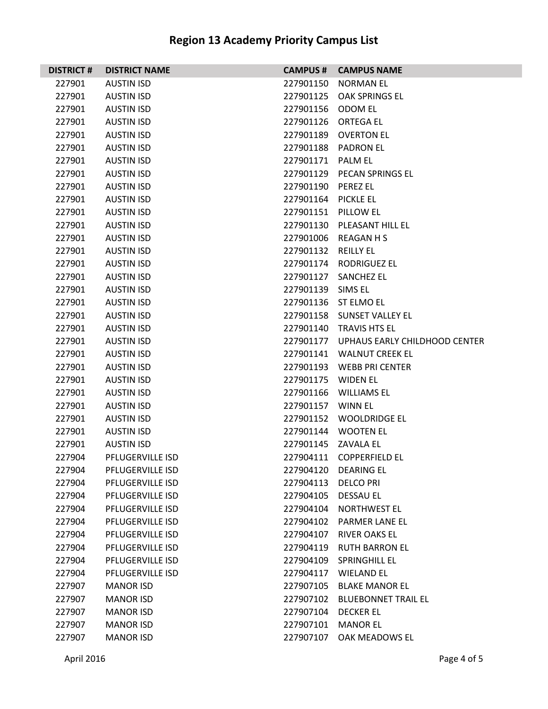| <b>DISTRICT#</b> | <b>DISTRICT NAME</b>    |                     | <b>CAMPUS # CAMPUS NAME</b>             |
|------------------|-------------------------|---------------------|-----------------------------------------|
| 227901           | <b>AUSTIN ISD</b>       | 227901150           | NORMAN EL                               |
| 227901           | <b>AUSTIN ISD</b>       | 227901125           | OAK SPRINGS EL                          |
| 227901           | <b>AUSTIN ISD</b>       | 227901156 ODOM EL   |                                         |
| 227901           | <b>AUSTIN ISD</b>       |                     | 227901126 ORTEGA EL                     |
| 227901           | <b>AUSTIN ISD</b>       |                     | 227901189 OVERTON EL                    |
| 227901           | <b>AUSTIN ISD</b>       |                     | 227901188 PADRON EL                     |
| 227901           | <b>AUSTIN ISD</b>       | 227901171 PALM EL   |                                         |
| 227901           | <b>AUSTIN ISD</b>       |                     | 227901129 PECAN SPRINGS EL              |
| 227901           | <b>AUSTIN ISD</b>       | 227901190 PEREZ EL  |                                         |
| 227901           | <b>AUSTIN ISD</b>       | 227901164 PICKLE EL |                                         |
| 227901           | <b>AUSTIN ISD</b>       | 227901151 PILLOW EL |                                         |
| 227901           | <b>AUSTIN ISD</b>       |                     | 227901130 PLEASANT HILL EL              |
| 227901           | <b>AUSTIN ISD</b>       |                     | 227901006 REAGAN H S                    |
| 227901           | <b>AUSTIN ISD</b>       | 227901132 REILLY EL |                                         |
| 227901           | <b>AUSTIN ISD</b>       |                     | 227901174 RODRIGUEZ EL                  |
| 227901           | <b>AUSTIN ISD</b>       |                     | 227901127 SANCHEZ EL                    |
| 227901           | <b>AUSTIN ISD</b>       | 227901139 SIMS EL   |                                         |
| 227901           | <b>AUSTIN ISD</b>       |                     | 227901136 ST ELMO EL                    |
| 227901           | <b>AUSTIN ISD</b>       |                     | 227901158 SUNSET VALLEY EL              |
| 227901           | <b>AUSTIN ISD</b>       |                     | 227901140 TRAVIS HTS EL                 |
| 227901           | <b>AUSTIN ISD</b>       |                     | 227901177 UPHAUS EARLY CHILDHOOD CENTER |
| 227901           | <b>AUSTIN ISD</b>       |                     | 227901141 WALNUT CREEK EL               |
| 227901           | <b>AUSTIN ISD</b>       |                     | 227901193 WEBB PRI CENTER               |
| 227901           | <b>AUSTIN ISD</b>       | 227901175           | WIDEN EL                                |
| 227901           | <b>AUSTIN ISD</b>       |                     | 227901166 WILLIAMS EL                   |
| 227901           | <b>AUSTIN ISD</b>       | 227901157 WINN EL   |                                         |
| 227901           | <b>AUSTIN ISD</b>       |                     | 227901152 WOOLDRIDGE EL                 |
| 227901           | <b>AUSTIN ISD</b>       |                     | 227901144 WOOTEN EL                     |
| 227901           | <b>AUSTIN ISD</b>       | 227901145 ZAVALA EL |                                         |
| 227904           | <b>PFLUGERVILLE ISD</b> |                     | 227904111 COPPERFIELD EL                |
| 227904           | PFLUGERVILLE ISD        | 227904120           | <b>DEARING EL</b>                       |
| 227904           | PFLUGERVILLE ISD        | 227904113           | <b>DELCO PRI</b>                        |
| 227904           | PFLUGERVILLE ISD        | 227904105           | DESSAU EL                               |
| 227904           | PFLUGERVILLE ISD        | 227904104           | <b>NORTHWEST EL</b>                     |
| 227904           | PFLUGERVILLE ISD        | 227904102           | <b>PARMER LANE EL</b>                   |
| 227904           | <b>PFLUGERVILLE ISD</b> | 227904107           | <b>RIVER OAKS EL</b>                    |
| 227904           | PFLUGERVILLE ISD        | 227904119           | <b>RUTH BARRON EL</b>                   |
| 227904           | PFLUGERVILLE ISD        | 227904109           | <b>SPRINGHILL EL</b>                    |
| 227904           | PFLUGERVILLE ISD        | 227904117           | <b>WIELAND EL</b>                       |
| 227907           | <b>MANOR ISD</b>        | 227907105           | <b>BLAKE MANOR EL</b>                   |
| 227907           | <b>MANOR ISD</b>        | 227907102           | <b>BLUEBONNET TRAIL EL</b>              |
| 227907           | <b>MANOR ISD</b>        | 227907104           | <b>DECKER EL</b>                        |
| 227907           | <b>MANOR ISD</b>        | 227907101           | <b>MANOR EL</b>                         |
| 227907           | <b>MANOR ISD</b>        | 227907107           | OAK MEADOWS EL                          |